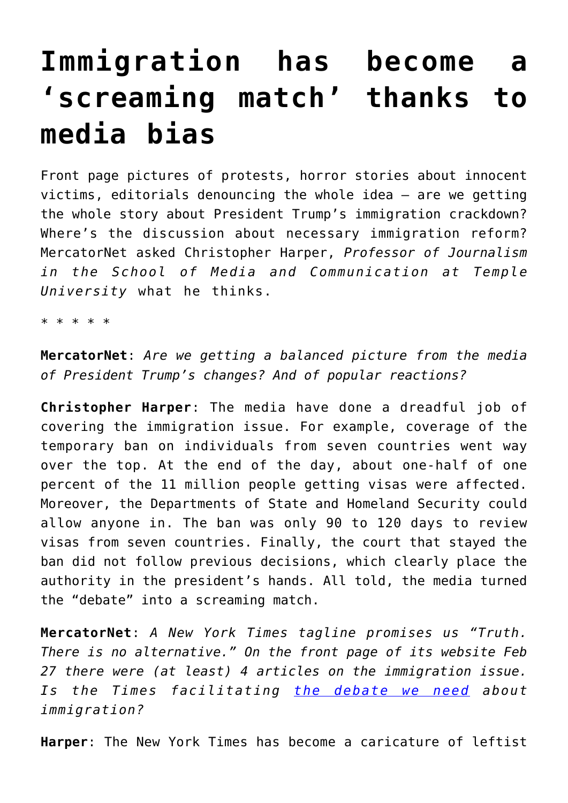## **[Immigration has become a](https://intellectualtakeout.org/2017/03/immigration-has-become-a-screaming-match-thanks-to-media-bias/) ['screaming match' thanks to](https://intellectualtakeout.org/2017/03/immigration-has-become-a-screaming-match-thanks-to-media-bias/) [media bias](https://intellectualtakeout.org/2017/03/immigration-has-become-a-screaming-match-thanks-to-media-bias/)**

Front page pictures of protests, horror stories about innocent victims, editorials denouncing the whole idea — are we getting the whole story about President Trump's immigration crackdown? Where's the discussion about necessary immigration reform? MercatorNet asked Christopher Harper, *Professor of Journalism in the School of Media and Communication at Temple University* what he thinks.

\* \* \* \* \*

**MercatorNet**: *Are we getting a balanced picture from the media of President Trump's changes? And of popular reactions?*

**Christopher Harper**: The media have done a dreadful job of covering the immigration issue. For example, coverage of the temporary ban on individuals from seven countries went way over the top. At the end of the day, about one-half of one percent of the 11 million people getting visas were affected. Moreover, the Departments of State and Homeland Security could allow anyone in. The ban was only 90 to 120 days to review visas from seven countries. Finally, the court that stayed the ban did not follow previous decisions, which clearly place the authority in the president's hands. All told, the media turned the "debate" into a screaming match.

**MercatorNet**: *A New York Times tagline promises us "Truth. There is no alternative." On the front page of its website Feb 27 there were (at least) 4 articles on the immigration issue. Is the Times facilitating [the debate we need](https://www.nytimes.com/2017/02/27/opinion/the-immigration-debate-we-need.html) about immigration?*

**Harper**: The New York Times has become a caricature of leftist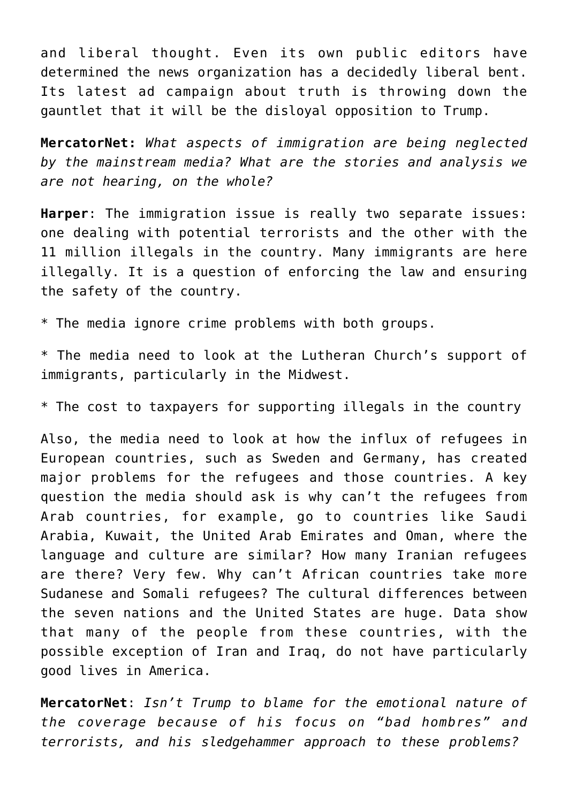and liberal thought. Even its own public editors have determined the news organization has a decidedly liberal bent. Its latest ad campaign about truth is throwing down the gauntlet that it will be the disloyal opposition to Trump.

**MercatorNet:** *What aspects of immigration are being neglected by the mainstream media? What are the stories and analysis we are not hearing, on the whole?*

**Harper**: The immigration issue is really two separate issues: one dealing with potential terrorists and the other with the 11 million illegals in the country. Many immigrants are here illegally. It is a question of enforcing the law and ensuring the safety of the country.

\* The media ignore crime problems with both groups.

\* The media need to look at the Lutheran Church's support of immigrants, particularly in the Midwest.

\* The cost to taxpayers for supporting illegals in the country

Also, the media need to look at how the influx of refugees in European countries, such as Sweden and Germany, has created major problems for the refugees and those countries. A key question the media should ask is why can't the refugees from Arab countries, for example, go to countries like Saudi Arabia, Kuwait, the United Arab Emirates and Oman, where the language and culture are similar? How many Iranian refugees are there? Very few. Why can't African countries take more Sudanese and Somali refugees? The cultural differences between the seven nations and the United States are huge. Data show that many of the people from these countries, with the possible exception of Iran and Iraq, do not have particularly good lives in America.

**MercatorNet**: *Isn't Trump to blame for the emotional nature of the coverage because of his focus on "bad hombres" and terrorists, and his sledgehammer approach to these problems?*